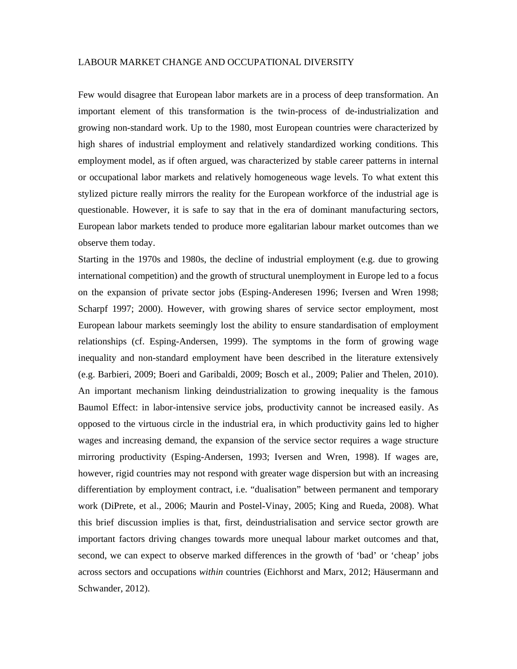## LABOUR MARKET CHANGE AND OCCUPATIONAL DIVERSITY

Few would disagree that European labor markets are in a process of deep transformation. An important element of this transformation is the twin-process of de-industrialization and growing non-standard work. Up to the 1980, most European countries were characterized by high shares of industrial employment and relatively standardized working conditions. This employment model, as if often argued, was characterized by stable career patterns in internal or occupational labor markets and relatively homogeneous wage levels. To what extent this stylized picture really mirrors the reality for the European workforce of the industrial age is questionable. However, it is safe to say that in the era of dominant manufacturing sectors, European labor markets tended to produce more egalitarian labour market outcomes than we observe them today.

Starting in the 1970s and 1980s, the decline of industrial employment (e.g. due to growing international competition) and the growth of structural unemployment in Europe led to a focus on the expansion of private sector jobs (Esping-Anderesen 1996; Iversen and Wren 1998; Scharpf 1997; 2000). However, with growing shares of service sector employment, most European labour markets seemingly lost the ability to ensure standardisation of employment relationships (cf. Esping-Andersen, 1999). The symptoms in the form of growing wage inequality and non-standard employment have been described in the literature extensively (e.g. Barbieri, 2009; Boeri and Garibaldi, 2009; Bosch et al., 2009; Palier and Thelen, 2010). An important mechanism linking deindustrialization to growing inequality is the famous Baumol Effect: in labor-intensive service jobs, productivity cannot be increased easily. As opposed to the virtuous circle in the industrial era, in which productivity gains led to higher wages and increasing demand, the expansion of the service sector requires a wage structure mirroring productivity (Esping-Andersen, 1993; Iversen and Wren, 1998). If wages are, however, rigid countries may not respond with greater wage dispersion but with an increasing differentiation by employment contract, i.e. "dualisation" between permanent and temporary work (DiPrete, et al., 2006; Maurin and Postel-Vinay, 2005; King and Rueda, 2008). What this brief discussion implies is that, first, deindustrialisation and service sector growth are important factors driving changes towards more unequal labour market outcomes and that, second, we can expect to observe marked differences in the growth of 'bad' or 'cheap' jobs across sectors and occupations *within* countries (Eichhorst and Marx, 2012; Häusermann and Schwander, 2012).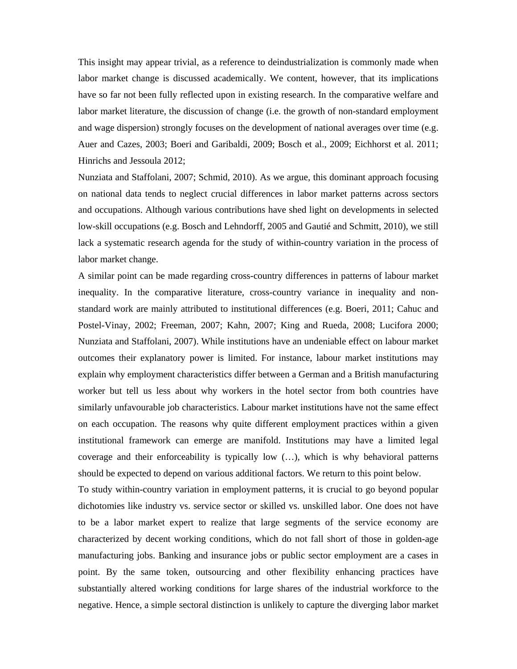This insight may appear trivial, as a reference to deindustrialization is commonly made when labor market change is discussed academically. We content, however, that its implications have so far not been fully reflected upon in existing research. In the comparative welfare and labor market literature, the discussion of change (i.e. the growth of non-standard employment and wage dispersion) strongly focuses on the development of national averages over time (e.g. Auer and Cazes, 2003; Boeri and Garibaldi, 2009; Bosch et al., 2009; Eichhorst et al. 2011; Hinrichs and Jessoula 2012;

Nunziata and Staffolani, 2007; Schmid, 2010). As we argue, this dominant approach focusing on national data tends to neglect crucial differences in labor market patterns across sectors and occupations. Although various contributions have shed light on developments in selected low-skill occupations (e.g. Bosch and Lehndorff, 2005 and Gautié and Schmitt, 2010), we still lack a systematic research agenda for the study of within-country variation in the process of labor market change.

A similar point can be made regarding cross-country differences in patterns of labour market inequality. In the comparative literature, cross-country variance in inequality and nonstandard work are mainly attributed to institutional differences (e.g. Boeri, 2011; Cahuc and Postel-Vinay, 2002; Freeman, 2007; Kahn, 2007; King and Rueda, 2008; Lucifora 2000; Nunziata and Staffolani, 2007). While institutions have an undeniable effect on labour market outcomes their explanatory power is limited. For instance, labour market institutions may explain why employment characteristics differ between a German and a British manufacturing worker but tell us less about why workers in the hotel sector from both countries have similarly unfavourable job characteristics. Labour market institutions have not the same effect on each occupation. The reasons why quite different employment practices within a given institutional framework can emerge are manifold. Institutions may have a limited legal coverage and their enforceability is typically low (…), which is why behavioral patterns should be expected to depend on various additional factors. We return to this point below.

To study within-country variation in employment patterns, it is crucial to go beyond popular dichotomies like industry vs. service sector or skilled vs. unskilled labor. One does not have to be a labor market expert to realize that large segments of the service economy are characterized by decent working conditions, which do not fall short of those in golden-age manufacturing jobs. Banking and insurance jobs or public sector employment are a cases in point. By the same token, outsourcing and other flexibility enhancing practices have substantially altered working conditions for large shares of the industrial workforce to the negative. Hence, a simple sectoral distinction is unlikely to capture the diverging labor market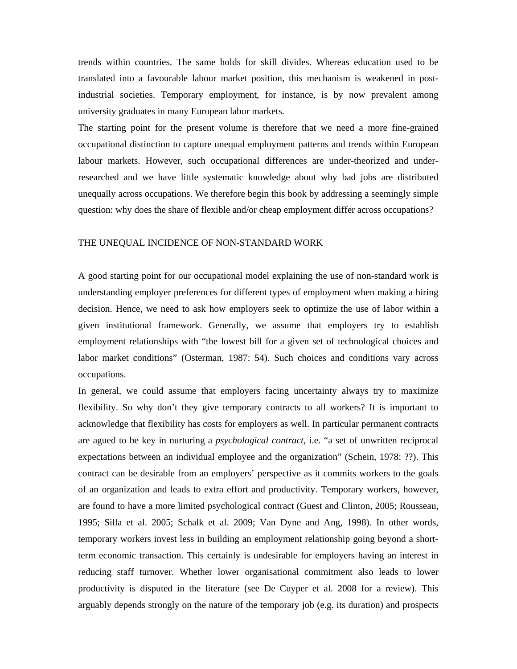trends within countries. The same holds for skill divides. Whereas education used to be translated into a favourable labour market position, this mechanism is weakened in postindustrial societies. Temporary employment, for instance, is by now prevalent among university graduates in many European labor markets.

The starting point for the present volume is therefore that we need a more fine-grained occupational distinction to capture unequal employment patterns and trends within European labour markets. However, such occupational differences are under-theorized and underresearched and we have little systematic knowledge about why bad jobs are distributed unequally across occupations. We therefore begin this book by addressing a seemingly simple question: why does the share of flexible and/or cheap employment differ across occupations?

## THE UNEQUAL INCIDENCE OF NON-STANDARD WORK

A good starting point for our occupational model explaining the use of non-standard work is understanding employer preferences for different types of employment when making a hiring decision. Hence, we need to ask how employers seek to optimize the use of labor within a given institutional framework. Generally, we assume that employers try to establish employment relationships with "the lowest bill for a given set of technological choices and labor market conditions" (Osterman, 1987: 54). Such choices and conditions vary across occupations.

In general, we could assume that employers facing uncertainty always try to maximize flexibility. So why don't they give temporary contracts to all workers? It is important to acknowledge that flexibility has costs for employers as well. In particular permanent contracts are agued to be key in nurturing a *psychological contract*, i.e. "a set of unwritten reciprocal expectations between an individual employee and the organization" (Schein, 1978: ??). This contract can be desirable from an employers' perspective as it commits workers to the goals of an organization and leads to extra effort and productivity. Temporary workers, however, are found to have a more limited psychological contract (Guest and Clinton, 2005; Rousseau, 1995; Silla et al. 2005; Schalk et al. 2009; Van Dyne and Ang, 1998). In other words, temporary workers invest less in building an employment relationship going beyond a shortterm economic transaction. This certainly is undesirable for employers having an interest in reducing staff turnover. Whether lower organisational commitment also leads to lower productivity is disputed in the literature (see De Cuyper et al. 2008 for a review). This arguably depends strongly on the nature of the temporary job (e.g. its duration) and prospects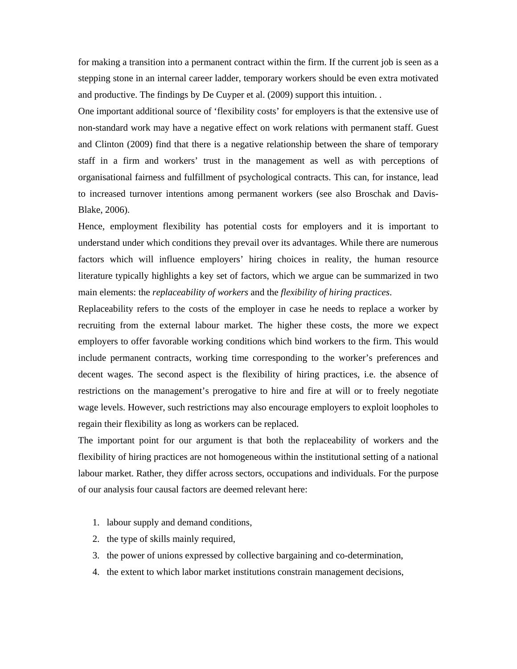for making a transition into a permanent contract within the firm. If the current job is seen as a stepping stone in an internal career ladder, temporary workers should be even extra motivated and productive. The findings by De Cuyper et al. (2009) support this intuition. .

One important additional source of 'flexibility costs' for employers is that the extensive use of non-standard work may have a negative effect on work relations with permanent staff. Guest and Clinton (2009) find that there is a negative relationship between the share of temporary staff in a firm and workers' trust in the management as well as with perceptions of organisational fairness and fulfillment of psychological contracts. This can, for instance, lead to increased turnover intentions among permanent workers (see also Broschak and Davis-Blake, 2006).

Hence, employment flexibility has potential costs for employers and it is important to understand under which conditions they prevail over its advantages. While there are numerous factors which will influence employers' hiring choices in reality, the human resource literature typically highlights a key set of factors, which we argue can be summarized in two main elements: the *replaceability of workers* and the *flexibility of hiring practices*.

Replaceability refers to the costs of the employer in case he needs to replace a worker by recruiting from the external labour market. The higher these costs, the more we expect employers to offer favorable working conditions which bind workers to the firm. This would include permanent contracts, working time corresponding to the worker's preferences and decent wages. The second aspect is the flexibility of hiring practices, i.e. the absence of restrictions on the management's prerogative to hire and fire at will or to freely negotiate wage levels. However, such restrictions may also encourage employers to exploit loopholes to regain their flexibility as long as workers can be replaced.

The important point for our argument is that both the replaceability of workers and the flexibility of hiring practices are not homogeneous within the institutional setting of a national labour market. Rather, they differ across sectors, occupations and individuals. For the purpose of our analysis four causal factors are deemed relevant here:

- 1. labour supply and demand conditions,
- 2. the type of skills mainly required,
- 3. the power of unions expressed by collective bargaining and co-determination,
- 4. the extent to which labor market institutions constrain management decisions,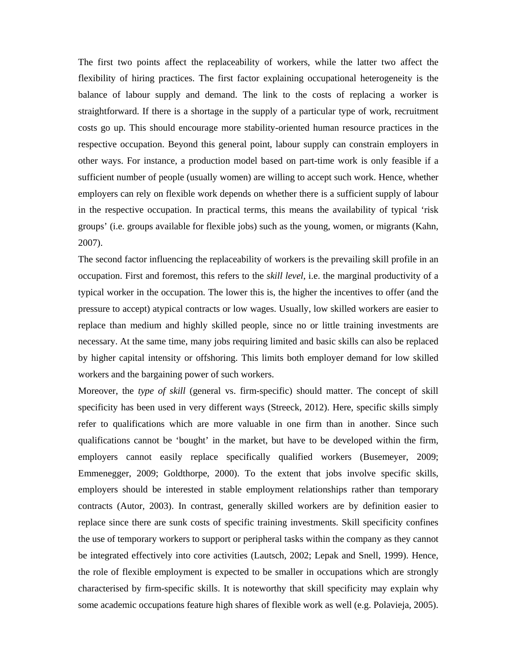The first two points affect the replaceability of workers, while the latter two affect the flexibility of hiring practices. The first factor explaining occupational heterogeneity is the balance of labour supply and demand. The link to the costs of replacing a worker is straightforward. If there is a shortage in the supply of a particular type of work, recruitment costs go up. This should encourage more stability-oriented human resource practices in the respective occupation. Beyond this general point, labour supply can constrain employers in other ways. For instance, a production model based on part-time work is only feasible if a sufficient number of people (usually women) are willing to accept such work. Hence, whether employers can rely on flexible work depends on whether there is a sufficient supply of labour in the respective occupation. In practical terms, this means the availability of typical 'risk groups' (i.e. groups available for flexible jobs) such as the young, women, or migrants (Kahn, 2007).

The second factor influencing the replaceability of workers is the prevailing skill profile in an occupation. First and foremost, this refers to the *skill level*, i.e. the marginal productivity of a typical worker in the occupation. The lower this is, the higher the incentives to offer (and the pressure to accept) atypical contracts or low wages. Usually, low skilled workers are easier to replace than medium and highly skilled people, since no or little training investments are necessary. At the same time, many jobs requiring limited and basic skills can also be replaced by higher capital intensity or offshoring. This limits both employer demand for low skilled workers and the bargaining power of such workers.

Moreover, the *type of skill* (general vs. firm-specific) should matter. The concept of skill specificity has been used in very different ways (Streeck, 2012). Here, specific skills simply refer to qualifications which are more valuable in one firm than in another. Since such qualifications cannot be 'bought' in the market, but have to be developed within the firm, employers cannot easily replace specifically qualified workers (Busemeyer, 2009; Emmenegger, 2009; Goldthorpe, 2000). To the extent that jobs involve specific skills, employers should be interested in stable employment relationships rather than temporary contracts (Autor, 2003). In contrast, generally skilled workers are by definition easier to replace since there are sunk costs of specific training investments. Skill specificity confines the use of temporary workers to support or peripheral tasks within the company as they cannot be integrated effectively into core activities (Lautsch, 2002; Lepak and Snell, 1999). Hence, the role of flexible employment is expected to be smaller in occupations which are strongly characterised by firm-specific skills. It is noteworthy that skill specificity may explain why some academic occupations feature high shares of flexible work as well (e.g. Polavieja, 2005).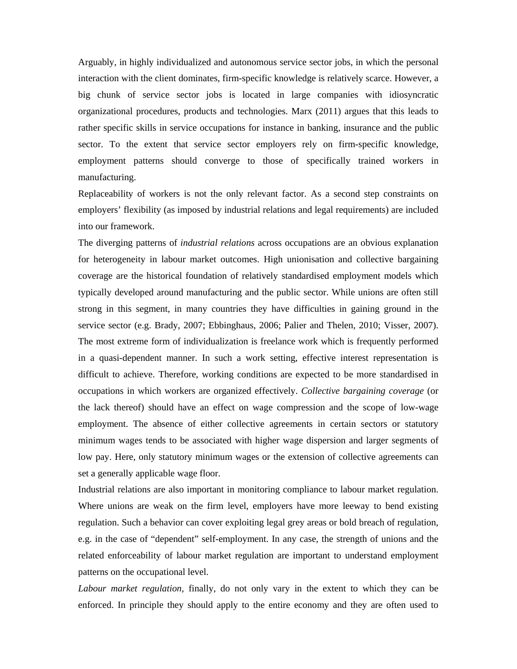Arguably, in highly individualized and autonomous service sector jobs, in which the personal interaction with the client dominates, firm-specific knowledge is relatively scarce. However, a big chunk of service sector jobs is located in large companies with idiosyncratic organizational procedures, products and technologies. Marx (2011) argues that this leads to rather specific skills in service occupations for instance in banking, insurance and the public sector. To the extent that service sector employers rely on firm-specific knowledge, employment patterns should converge to those of specifically trained workers in manufacturing.

Replaceability of workers is not the only relevant factor. As a second step constraints on employers' flexibility (as imposed by industrial relations and legal requirements) are included into our framework.

The diverging patterns of *industrial relations* across occupations are an obvious explanation for heterogeneity in labour market outcomes. High unionisation and collective bargaining coverage are the historical foundation of relatively standardised employment models which typically developed around manufacturing and the public sector. While unions are often still strong in this segment, in many countries they have difficulties in gaining ground in the service sector (e.g. Brady, 2007; Ebbinghaus, 2006; Palier and Thelen, 2010; Visser, 2007). The most extreme form of individualization is freelance work which is frequently performed in a quasi-dependent manner. In such a work setting, effective interest representation is difficult to achieve. Therefore, working conditions are expected to be more standardised in occupations in which workers are organized effectively. *Collective bargaining coverage* (or the lack thereof) should have an effect on wage compression and the scope of low-wage employment. The absence of either collective agreements in certain sectors or statutory minimum wages tends to be associated with higher wage dispersion and larger segments of low pay. Here, only statutory minimum wages or the extension of collective agreements can set a generally applicable wage floor.

Industrial relations are also important in monitoring compliance to labour market regulation. Where unions are weak on the firm level, employers have more leeway to bend existing regulation. Such a behavior can cover exploiting legal grey areas or bold breach of regulation, e.g. in the case of "dependent" self-employment. In any case, the strength of unions and the related enforceability of labour market regulation are important to understand employment patterns on the occupational level.

*Labour market regulation,* finally, do not only vary in the extent to which they can be enforced. In principle they should apply to the entire economy and they are often used to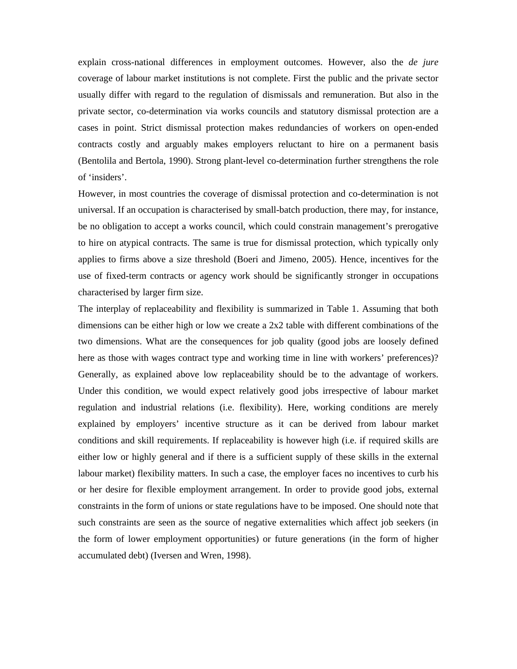explain cross-national differences in employment outcomes. However, also the *de jure* coverage of labour market institutions is not complete. First the public and the private sector usually differ with regard to the regulation of dismissals and remuneration. But also in the private sector, co-determination via works councils and statutory dismissal protection are a cases in point. Strict dismissal protection makes redundancies of workers on open-ended contracts costly and arguably makes employers reluctant to hire on a permanent basis (Bentolila and Bertola, 1990). Strong plant-level co-determination further strengthens the role of 'insiders'.

However, in most countries the coverage of dismissal protection and co-determination is not universal. If an occupation is characterised by small-batch production, there may, for instance, be no obligation to accept a works council, which could constrain management's prerogative to hire on atypical contracts. The same is true for dismissal protection, which typically only applies to firms above a size threshold (Boeri and Jimeno, 2005). Hence, incentives for the use of fixed-term contracts or agency work should be significantly stronger in occupations characterised by larger firm size.

The interplay of replaceability and flexibility is summarized in Table 1. Assuming that both dimensions can be either high or low we create a 2x2 table with different combinations of the two dimensions. What are the consequences for job quality (good jobs are loosely defined here as those with wages contract type and working time in line with workers' preferences)? Generally, as explained above low replaceability should be to the advantage of workers. Under this condition, we would expect relatively good jobs irrespective of labour market regulation and industrial relations (i.e. flexibility). Here, working conditions are merely explained by employers' incentive structure as it can be derived from labour market conditions and skill requirements. If replaceability is however high (i.e. if required skills are either low or highly general and if there is a sufficient supply of these skills in the external labour market) flexibility matters. In such a case, the employer faces no incentives to curb his or her desire for flexible employment arrangement. In order to provide good jobs, external constraints in the form of unions or state regulations have to be imposed. One should note that such constraints are seen as the source of negative externalities which affect job seekers (in the form of lower employment opportunities) or future generations (in the form of higher accumulated debt) (Iversen and Wren, 1998).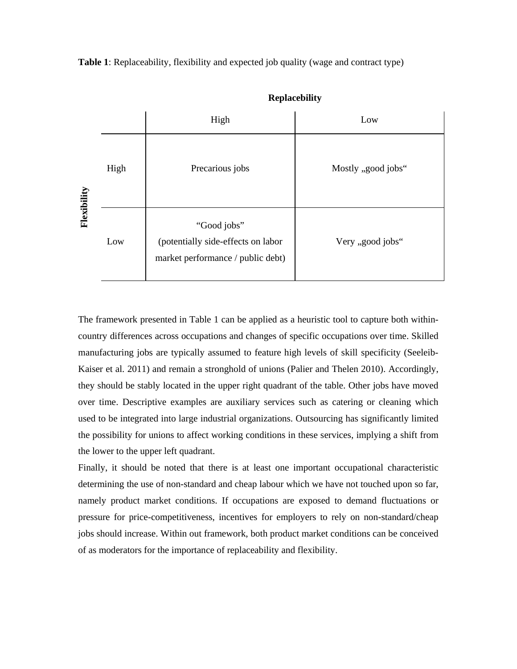**Table 1**: Replaceability, flexibility and expected job quality (wage and contract type)



**Replacebility**

The framework presented in Table 1 can be applied as a heuristic tool to capture both withincountry differences across occupations and changes of specific occupations over time. Skilled manufacturing jobs are typically assumed to feature high levels of skill specificity (Seeleib-Kaiser et al. 2011) and remain a stronghold of unions (Palier and Thelen 2010). Accordingly, they should be stably located in the upper right quadrant of the table. Other jobs have moved over time. Descriptive examples are auxiliary services such as catering or cleaning which used to be integrated into large industrial organizations. Outsourcing has significantly limited the possibility for unions to affect working conditions in these services, implying a shift from the lower to the upper left quadrant.

Finally, it should be noted that there is at least one important occupational characteristic determining the use of non-standard and cheap labour which we have not touched upon so far, namely product market conditions. If occupations are exposed to demand fluctuations or pressure for price-competitiveness, incentives for employers to rely on non-standard/cheap jobs should increase. Within out framework, both product market conditions can be conceived of as moderators for the importance of replaceability and flexibility.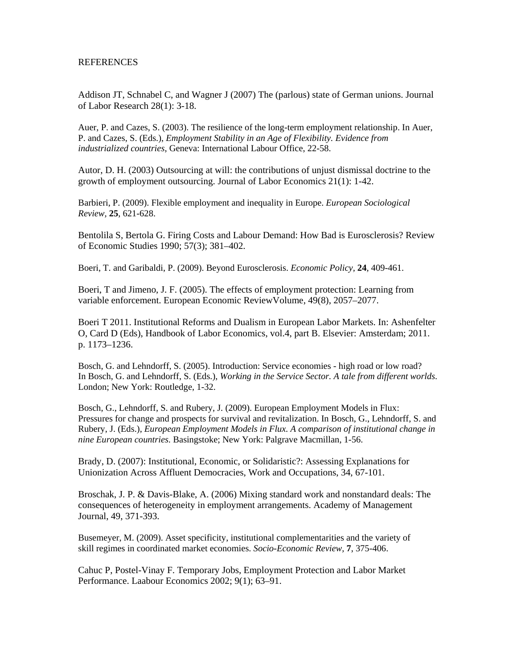## REFERENCES

Addison JT, Schnabel C, and Wagner J (2007) The (parlous) state of German unions. Journal of Labor Research 28(1): 3-18.

Auer, P. and Cazes, S. (2003). The resilience of the long-term employment relationship. In Auer, P. and Cazes, S. (Eds.), *Employment Stability in an Age of Flexibility. Evidence from industrialized countries*, Geneva: International Labour Office, 22-58.

Autor, D. H. (2003) Outsourcing at will: the contributions of unjust dismissal doctrine to the growth of employment outsourcing. Journal of Labor Economics 21(1): 1-42.

Barbieri, P. (2009). Flexible employment and inequality in Europe. *European Sociological Review,* **25**, 621-628.

Bentolila S, Bertola G. Firing Costs and Labour Demand: How Bad is Eurosclerosis? Review of Economic Studies 1990; 57(3); 381–402.

Boeri, T. and Garibaldi, P. (2009). Beyond Eurosclerosis. *Economic Policy,* **24**, 409-461.

Boeri, T and Jimeno, J. F. (2005). The effects of employment protection: Learning from variable enforcement. European Economic ReviewVolume, 49(8), 2057–2077.

Boeri T 2011. Institutional Reforms and Dualism in European Labor Markets. In: Ashenfelter O, Card D (Eds), Handbook of Labor Economics, vol.4, part B. Elsevier: Amsterdam; 2011. p. 1173–1236.

Bosch, G. and Lehndorff, S. (2005). Introduction: Service economies - high road or low road? In Bosch, G. and Lehndorff, S. (Eds.), *Working in the Service Sector. A tale from different worlds*. London; New York: Routledge, 1-32.

Bosch, G., Lehndorff, S. and Rubery, J. (2009). European Employment Models in Flux: Pressures for change and prospects for survival and revitalization. In Bosch, G., Lehndorff, S. and Rubery, J. (Eds.), *European Employment Models in Flux. A comparison of institutional change in nine European countries*. Basingstoke; New York: Palgrave Macmillan, 1-56.

Brady, D. (2007): Institutional, Economic, or Solidaristic?: Assessing Explanations for Unionization Across Affluent Democracies, Work and Occupations, 34, 67-101.

Broschak, J. P. & Davis-Blake, A. (2006) Mixing standard work and nonstandard deals: The consequences of heterogeneity in employment arrangements. Academy of Management Journal, 49, 371-393.

Busemeyer, M. (2009). Asset specificity, institutional complementarities and the variety of skill regimes in coordinated market economies. *Socio-Economic Review,* **7**, 375-406.

Cahuc P, Postel-Vinay F. Temporary Jobs, Employment Protection and Labor Market Performance. Laabour Economics 2002; 9(1); 63–91.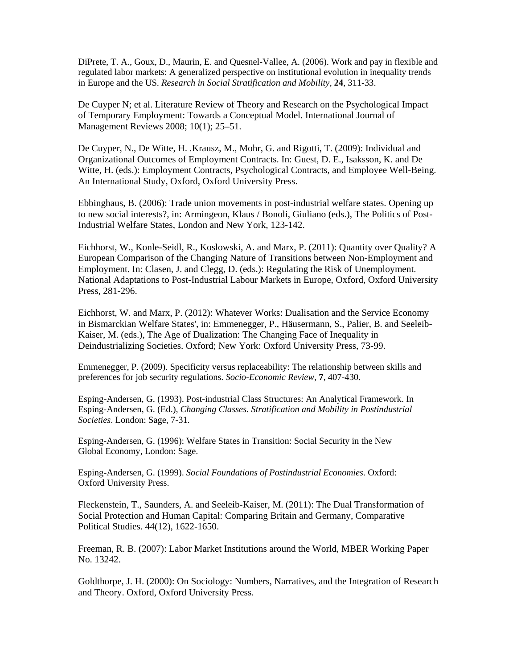DiPrete, T. A., Goux, D., Maurin, E. and Quesnel-Vallee, A. (2006). Work and pay in flexible and regulated labor markets: A generalized perspective on institutional evolution in inequality trends in Europe and the US. *Research in Social Stratification and Mobility,* **24**, 311-33.

De Cuyper N; et al. Literature Review of Theory and Research on the Psychological Impact of Temporary Employment: Towards a Conceptual Model. International Journal of Management Reviews 2008; 10(1); 25–51.

De Cuyper, N., De Witte, H. .Krausz, M., Mohr, G. and Rigotti, T. (2009): Individual and Organizational Outcomes of Employment Contracts. In: Guest, D. E., Isaksson, K. and De Witte, H. (eds.): Employment Contracts, Psychological Contracts, and Employee Well-Being. An International Study, Oxford, Oxford University Press.

Ebbinghaus, B. (2006): Trade union movements in post-industrial welfare states. Opening up to new social interests?, in: Armingeon, Klaus / Bonoli, Giuliano (eds.), The Politics of Post-Industrial Welfare States, London and New York, 123-142.

Eichhorst, W., Konle-Seidl, R., Koslowski, A. and Marx, P. (2011): Quantity over Quality? A European Comparison of the Changing Nature of Transitions between Non-Employment and Employment. In: Clasen, J. and Clegg, D. (eds.): Regulating the Risk of Unemployment. National Adaptations to Post-Industrial Labour Markets in Europe, Oxford, Oxford University Press, 281-296.

Eichhorst, W. and Marx, P. (2012): Whatever Works: Dualisation and the Service Economy in Bismarckian Welfare States', in: Emmenegger, P., Häusermann, S., Palier, B. and Seeleib-Kaiser, M. (eds.), The Age of Dualization: The Changing Face of Inequality in Deindustrializing Societies. Oxford; New York: Oxford University Press, 73-99.

Emmenegger, P. (2009). Specificity versus replaceability: The relationship between skills and preferences for job security regulations. *Socio-Economic Review,* **7**, 407-430.

Esping-Andersen, G. (1993). Post-industrial Class Structures: An Analytical Framework. In Esping-Andersen, G. (Ed.), *Changing Classes. Stratification and Mobility in Postindustrial Societies*. London: Sage, 7-31.

Esping-Andersen, G. (1996): Welfare States in Transition: Social Security in the New Global Economy, London: Sage.

Esping-Andersen, G. (1999). *Social Foundations of Postindustrial Economies*. Oxford: Oxford University Press.

Fleckenstein, T., Saunders, A. and Seeleib-Kaiser, M. (2011): The Dual Transformation of Social Protection and Human Capital: Comparing Britain and Germany, Comparative Political Studies. 44(12), 1622-1650.

Freeman, R. B. (2007): Labor Market Institutions around the World, MBER Working Paper No. 13242.

Goldthorpe, J. H. (2000): On Sociology: Numbers, Narratives, and the Integration of Research and Theory. Oxford, Oxford University Press.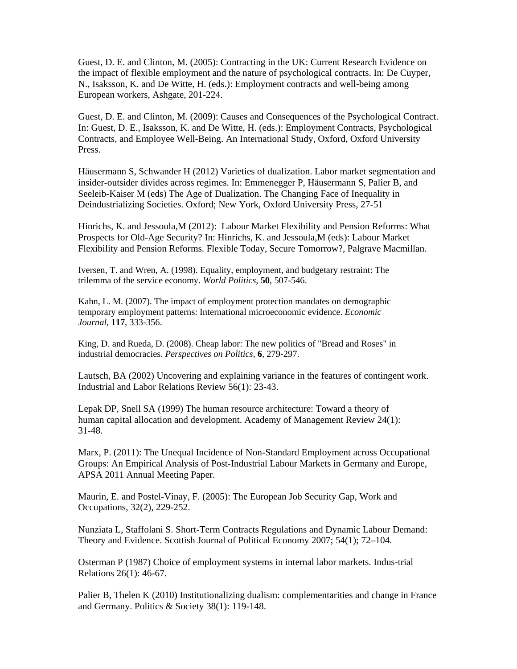Guest, D. E. and Clinton, M. (2005): Contracting in the UK: Current Research Evidence on the impact of flexible employment and the nature of psychological contracts. In: De Cuyper, N., Isaksson, K. and De Witte, H. (eds.): Employment contracts and well-being among European workers, Ashgate, 201-224.

Guest, D. E. and Clinton, M. (2009): Causes and Consequences of the Psychological Contract. In: Guest, D. E., Isaksson, K. and De Witte, H. (eds.): Employment Contracts, Psychological Contracts, and Employee Well-Being. An International Study, Oxford, Oxford University Press.

Häusermann S, Schwander H (2012) Varieties of dualization. Labor market segmentation and insider-outsider divides across regimes. In: Emmenegger P, Häusermann S, Palier B, and Seeleib-Kaiser M (eds) The Age of Dualization. The Changing Face of Inequality in Deindustrializing Societies. Oxford; New York, Oxford University Press, 27-51

Hinrichs, K. and Jessoula,M (2012): Labour Market Flexibility and Pension Reforms: What Prospects for Old-Age Security? In: Hinrichs, K. and Jessoula,M (eds): Labour Market Flexibility and Pension Reforms. Flexible Today, Secure Tomorrow?, Palgrave Macmillan.

Iversen, T. and Wren, A. (1998). Equality, employment, and budgetary restraint: The trilemma of the service economy. *World Politics,* **50**, 507-546.

Kahn, L. M. (2007). The impact of employment protection mandates on demographic temporary employment patterns: International microeconomic evidence. *Economic Journal,* **117**, 333-356.

King, D. and Rueda, D. (2008). Cheap labor: The new politics of "Bread and Roses" in industrial democracies. *Perspectives on Politics,* **6**, 279-297.

Lautsch, BA (2002) Uncovering and explaining variance in the features of contingent work. Industrial and Labor Relations Review 56(1): 23-43.

Lepak DP, Snell SA (1999) The human resource architecture: Toward a theory of human capital allocation and development. Academy of Management Review 24(1): 31-48.

Marx, P. (2011): The Unequal Incidence of Non-Standard Employment across Occupational Groups: An Empirical Analysis of Post-Industrial Labour Markets in Germany and Europe, APSA 2011 Annual Meeting Paper.

Maurin, E. and Postel-Vinay, F. (2005): The European Job Security Gap, Work and Occupations, 32(2), 229-252.

Nunziata L, Staffolani S. Short-Term Contracts Regulations and Dynamic Labour Demand: Theory and Evidence. Scottish Journal of Political Economy 2007; 54(1); 72–104.

Osterman P (1987) Choice of employment systems in internal labor markets. Indus-trial Relations 26(1): 46-67.

Palier B, Thelen K (2010) Institutionalizing dualism: complementarities and change in France and Germany. Politics & Society 38(1): 119-148.